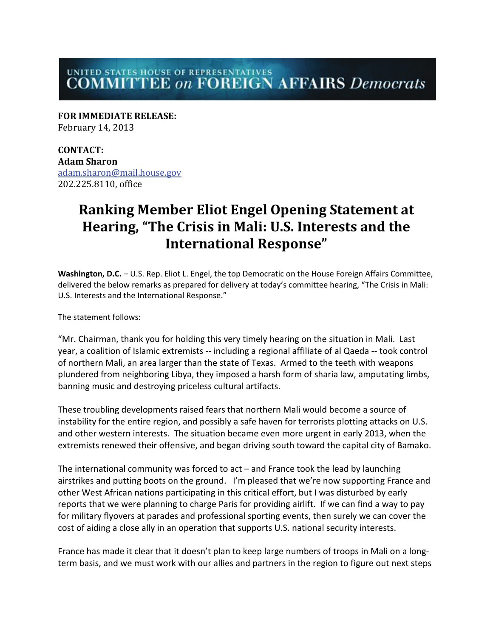## UNITED STATES HOUSE OF REPRESENTATIVES<br>COMMITTEE *on* FOREIGN AFFAIRS *Democrats*

**FOR IMMEDIATE RELEASE:** February 14, 2013

**CONTACT: Adam Sharon**  [adam.sharon@mail.house.gov](mailto:adam.sharon@mail.house.gov) 202.225.8110, office

## **Ranking Member Eliot Engel Opening Statement at Hearing, "The Crisis in Mali: U.S. Interests and the International Response"**

**Washington, D.C.** – U.S. Rep. Eliot L. Engel, the top Democratic on the House Foreign Affairs Committee, delivered the below remarks as prepared for delivery at today's committee hearing, "The Crisis in Mali: U.S. Interests and the International Response."

The statement follows:

"Mr. Chairman, thank you for holding this very timely hearing on the situation in Mali. Last year, a coalition of Islamic extremists -- including a regional affiliate of al Qaeda -- took control of northern Mali, an area larger than the state of Texas. Armed to the teeth with weapons plundered from neighboring Libya, they imposed a harsh form of sharia law, amputating limbs, banning music and destroying priceless cultural artifacts.

These troubling developments raised fears that northern Mali would become a source of instability for the entire region, and possibly a safe haven for terrorists plotting attacks on U.S. and other western interests. The situation became even more urgent in early 2013, when the extremists renewed their offensive, and began driving south toward the capital city of Bamako.

The international community was forced to act – and France took the lead by launching airstrikes and putting boots on the ground. I'm pleased that we're now supporting France and other West African nations participating in this critical effort, but I was disturbed by early reports that we were planning to charge Paris for providing airlift. If we can find a way to pay for military flyovers at parades and professional sporting events, then surely we can cover the cost of aiding a close ally in an operation that supports U.S. national security interests.

France has made it clear that it doesn't plan to keep large numbers of troops in Mali on a longterm basis, and we must work with our allies and partners in the region to figure out next steps